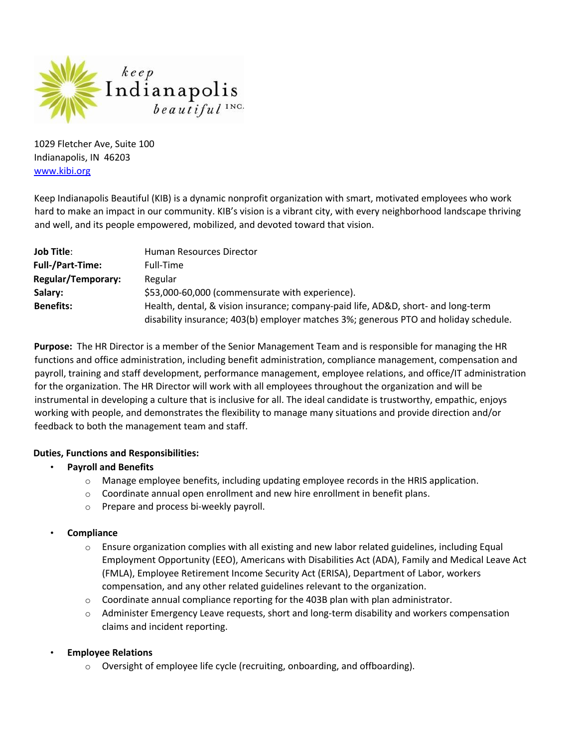

1029 Fletcher Ave, Suite 100 Indianapolis, IN 46203 www.kibi.org

Keep Indianapolis Beautiful (KIB) is a dynamic nonprofit organization with smart, motivated employees who work hard to make an impact in our community. KIB's vision is a vibrant city, with every neighborhood landscape thriving and well, and its people empowered, mobilized, and devoted toward that vision.

| <b>Job Title:</b>         | Human Resources Director                                                             |
|---------------------------|--------------------------------------------------------------------------------------|
| <b>Full-/Part-Time:</b>   | Full-Time                                                                            |
| <b>Regular/Temporary:</b> | Regular                                                                              |
| Salary:                   | \$53,000-60,000 (commensurate with experience).                                      |
| <b>Benefits:</b>          | Health, dental, & vision insurance; company-paid life, AD&D, short- and long-term    |
|                           | disability insurance; 403(b) employer matches 3%; generous PTO and holiday schedule. |

**Purpose:** The HR Director is a member of the Senior Management Team and is responsible for managing the HR functions and office administration, including benefit administration, compliance management, compensation and payroll, training and staff development, performance management, employee relations, and office/IT administration for the organization. The HR Director will work with all employees throughout the organization and will be instrumental in developing a culture that is inclusive for all. The ideal candidate is trustworthy, empathic, enjoys working with people, and demonstrates the flexibility to manage many situations and provide direction and/or feedback to both the management team and staff.

# **Duties, Functions and Responsibilities:**

- **Payroll and Benefits**
	- $\circ$  Manage employee benefits, including updating employee records in the HRIS application.
	- o Coordinate annual open enrollment and new hire enrollment in benefit plans.
	- o Prepare and process bi-weekly payroll.
- **Compliance** 
	- $\circ$  Ensure organization complies with all existing and new labor related guidelines, including Equal Employment Opportunity (EEO), Americans with Disabilities Act (ADA), Family and Medical Leave Act (FMLA), Employee Retirement Income Security Act (ERISA), Department of Labor, workers compensation, and any other related guidelines relevant to the organization.
	- $\circ$  Coordinate annual compliance reporting for the 403B plan with plan administrator.
	- $\circ$  Administer Emergency Leave requests, short and long-term disability and workers compensation claims and incident reporting.

# • **Employee Relations**

o Oversight of employee life cycle (recruiting, onboarding, and offboarding).